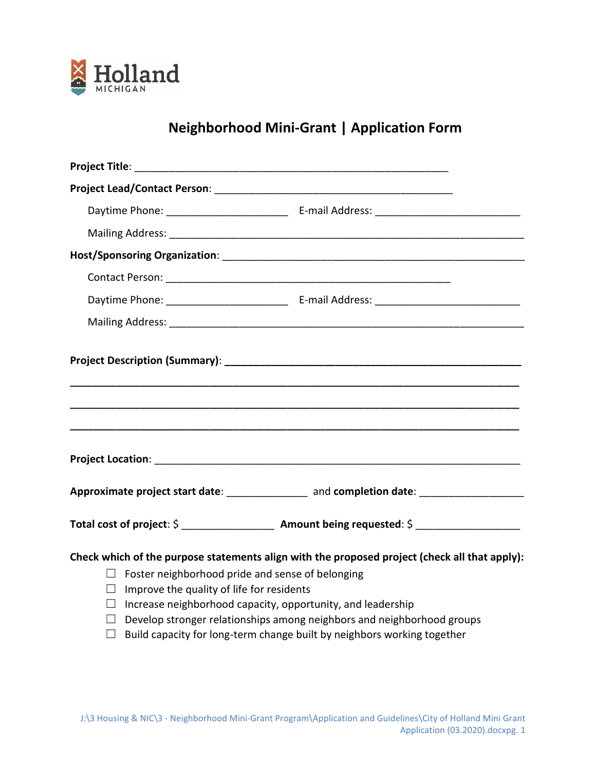

# **Neighborhood Mini-Grant | Application Form**

|                                                                                                                                       | Approximate project start date: ________________ and completion date: _________________       |  |  |  |  |
|---------------------------------------------------------------------------------------------------------------------------------------|-----------------------------------------------------------------------------------------------|--|--|--|--|
|                                                                                                                                       |                                                                                               |  |  |  |  |
|                                                                                                                                       | Check which of the purpose statements align with the proposed project (check all that apply): |  |  |  |  |
| Foster neighborhood pride and sense of belonging<br>$\perp$                                                                           |                                                                                               |  |  |  |  |
| Improve the quality of life for residents                                                                                             |                                                                                               |  |  |  |  |
| Increase neighborhood capacity, opportunity, and leadership<br>Develop stronger relationships among neighbors and neighborhood groups |                                                                                               |  |  |  |  |
| $\Box$                                                                                                                                |                                                                                               |  |  |  |  |

☐ Build capacity for long-term change built by neighbors working together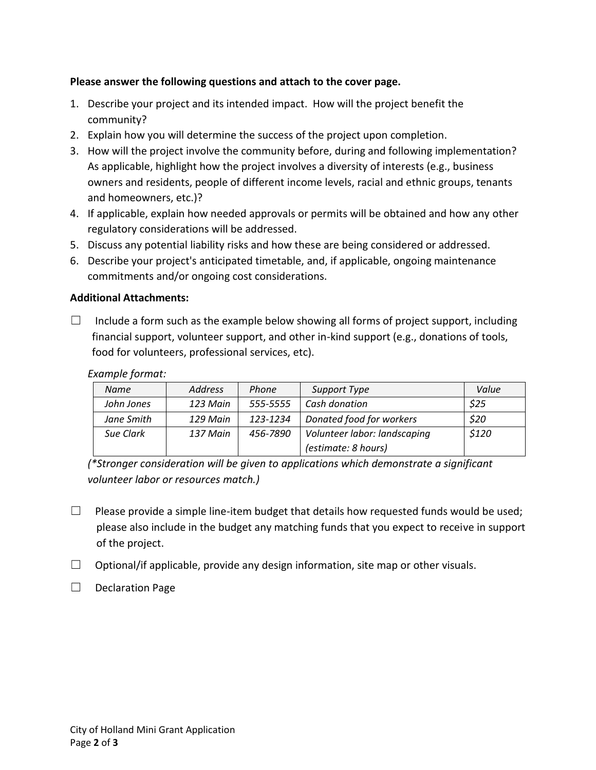# **Please answer the following questions and attach to the cover page.**

- 1. Describe your project and its intended impact. How will the project benefit the community?
- 2. Explain how you will determine the success of the project upon completion.
- 3. How will the project involve the community before, during and following implementation? As applicable, highlight how the project involves a diversity of interests (e.g., business owners and residents, people of different income levels, racial and ethnic groups, tenants and homeowners, etc.)?
- 4. If applicable, explain how needed approvals or permits will be obtained and how any other regulatory considerations will be addressed.
- 5. Discuss any potential liability risks and how these are being considered or addressed.
- 6. Describe your project's anticipated timetable, and, if applicable, ongoing maintenance commitments and/or ongoing cost considerations.

### **Additional Attachments:**

 $\Box$  Include a form such as the example below showing all forms of project support, including financial support, volunteer support, and other in-kind support (e.g., donations of tools, food for volunteers, professional services, etc).

| <b>Name</b> | <b>Address</b> | Phone    | Support Type                 | Value |
|-------------|----------------|----------|------------------------------|-------|
| John Jones  | 123 Main       | 555-5555 | Cash donation                | \$25  |
| Jane Smith  | 129 Main       | 123-1234 | Donated food for workers     | \$20  |
| Sue Clark   | 137 Main       | 456-7890 | Volunteer labor: landscaping | \$120 |
|             |                |          | (estimate: 8 hours)          |       |

#### *Example format:*

*(\*Stronger consideration will be given to applications which demonstrate a significant volunteer labor or resources match.)*

- $\Box$  Please provide a simple line-item budget that details how requested funds would be used; please also include in the budget any matching funds that you expect to receive in support of the project.
- $\Box$  Optional/if applicable, provide any design information, site map or other visuals.
- ☐ Declaration Page